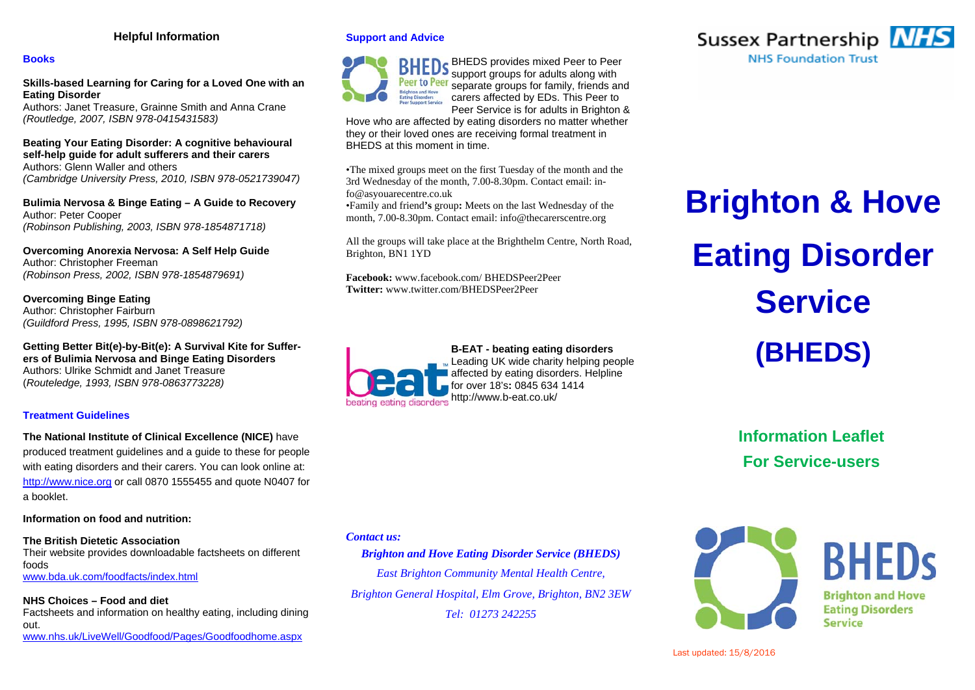# **Helpful Information**

# **Books**

**Skills-based Learning for Caring for a Loved One with an Eating Disorder**

Authors: Janet Treasure, Grainne Smith and Anna Crane *(Routledge, 2007, ISBN 978-0415431583)* 

**Beating Your Eating Disorder: A cognitive behavioural self-help guide for adult sufferers and their carers**  Authors: Glenn Waller and others *(Cambridge University Press, 2010, ISBN 978-0521739047)* 

**Bulimia Nervosa & Binge Eating – A Guide to Recovery**  Author: Peter Cooper *(Robinson Publishing, 2003, ISBN 978-1854871718)* 

**Overcoming Anorexia Nervosa: A Self Help Guide**  Author: Christopher Freeman *(Robinson Press, 2002, ISBN 978-1854879691)* 

**Overcoming Binge Eating**  Author: Christopher Fairburn *(Guildford Press, 1995, ISBN 978-0898621792)* 

**Getting Better Bit(e)-by-Bit(e): A Survival Kite for Sufferers of Bulimia Nervosa and Binge Eating Disorders**  Authors: Ulrike Schmidt and Janet Treasure (*Routeledge, 1993, ISBN 978-0863773228)* 

# **Treatment Guidelines**

**The National Institute of Clinical Excellence (NICE)** have produced treatment guidelines and a guide to these for people with eating disorders and their carers. You can look online at: http://www.nice.org or call 0870 1555455 and quote N0407 for a booklet.

**Information on food and nutrition:** 

**The British Dietetic Association**Their website provides downloadable factsheets on different foods www.bda.uk.com/foodfacts/index.html

**NHS Choices – Food and diet**  Factsheets and information on healthy eating, including dining out. www.nhs.uk/LiveWell/Goodfood/Pages/Goodfoodhome.aspx

# **Support and Advice**



**BHEDs** BHEDS provides mixed Peer to Peer support groups for adults along with separate groups for family, friends and carers affected by EDs. This Peer to Peer Service is for adults in Brighton &

Hove who are affected by eating disorders no matter whether they or their loved ones are receiving formal treatment in BHEDS at this moment in time.

•The mixed groups meet on the first Tuesday of the month and the 3rd Wednesday of the month, 7.00-8.30pm. Contact email: info@asyouarecentre.co.uk

•Family and friend**'s** group**:** Meets on the last Wednesday of the month, 7.00-8.30pm. Contact email: info@thecarerscentre.org

All the groups will take place at the Brighthelm Centre, North Road, Brighton, BN1 1YD

**Facebook:** www.facebook.com/ BHEDSPeer2Peer **Twitter:** www.twitter.com/BHEDSPeer2Peer

## **B-EAT - beating eating disorders**  Leading UK wide charity helping people

affected by eating disorders. Helpline for over 18's**:** 0845 634 1414 beating eating disorders http://www.b-eat.co.uk/



# **Brighton & Hove Eating Disorder Service(BHEDS)**

**Information Leaflet For Service-users** 



# *Brighton and Hove Eating Disorder Service (BHEDS)*

*East Brighton Community Mental Health Centre, Brighton General Hospital, Elm Grove, Brighton, BN2 3EW Tel: 01273 242255* 



**BHFDS Brighton and Hove Eating Disorders Service**